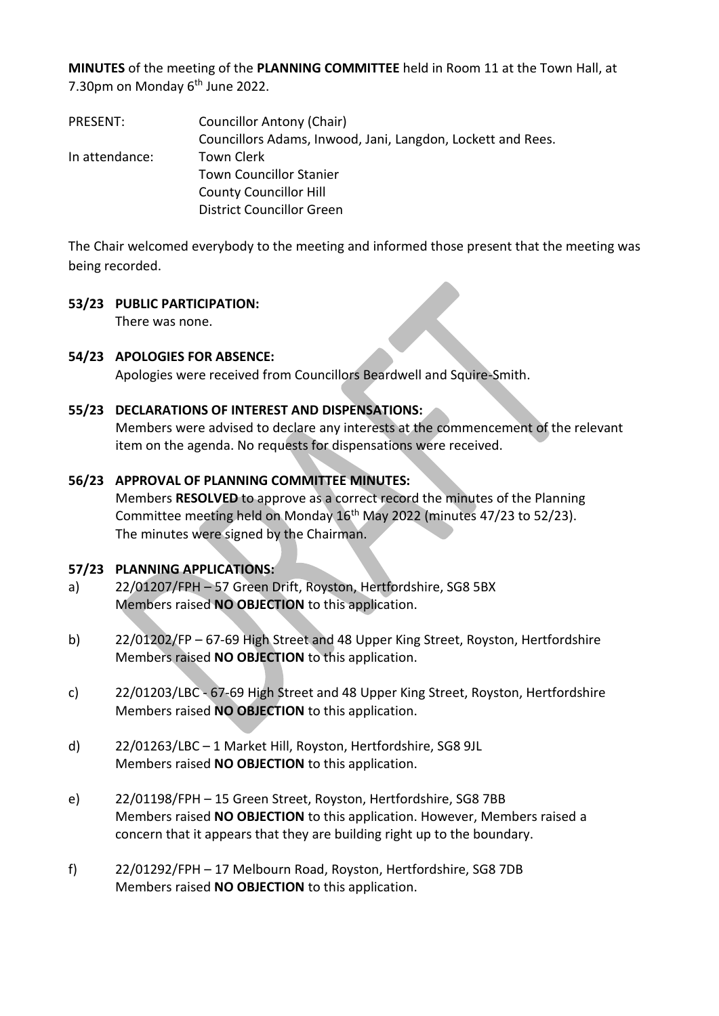**MINUTES** of the meeting of the **PLANNING COMMITTEE** held in Room 11 at the Town Hall, at 7.30pm on Monday  $6<sup>th</sup>$  June 2022.

PRESENT: Councillor Antony (Chair) Councillors Adams, Inwood, Jani, Langdon, Lockett and Rees. In attendance: Town Clerk Town Councillor Stanier County Councillor Hill District Councillor Green

The Chair welcomed everybody to the meeting and informed those present that the meeting was being recorded.

### **53/23 PUBLIC PARTICIPATION:**

There was none.

## **54/23 APOLOGIES FOR ABSENCE:**

Apologies were received from Councillors Beardwell and Squire-Smith.

### **55/23 DECLARATIONS OF INTEREST AND DISPENSATIONS:**

Members were advised to declare any interests at the commencement of the relevant item on the agenda. No requests for dispensations were received.

### **56/23 APPROVAL OF PLANNING COMMITTEE MINUTES:**

Members **RESOLVED** to approve as a correct record the minutes of the Planning Committee meeting held on Monday 16th May 2022 (minutes 47/23 to 52/23). The minutes were signed by the Chairman.

#### **57/23 PLANNING APPLICATIONS:**

- a) 22/01207/FPH 57 Green Drift, Royston, Hertfordshire, SG8 5BX Members raised **NO OBJECTION** to this application.
- b) 22/01202/FP 67-69 High Street and 48 Upper King Street, Royston, Hertfordshire Members raised **NO OBJECTION** to this application.
- c) 22/01203/LBC 67-69 High Street and 48 Upper King Street, Royston, Hertfordshire Members raised **NO OBJECTION** to this application.
- d) 22/01263/LBC 1 Market Hill, Royston, Hertfordshire, SG8 9JL Members raised **NO OBJECTION** to this application.
- e) 22/01198/FPH 15 Green Street, Royston, Hertfordshire, SG8 7BB Members raised **NO OBJECTION** to this application. However, Members raised a concern that it appears that they are building right up to the boundary.
- f) 22/01292/FPH 17 Melbourn Road, Royston, Hertfordshire, SG8 7DB Members raised **NO OBJECTION** to this application.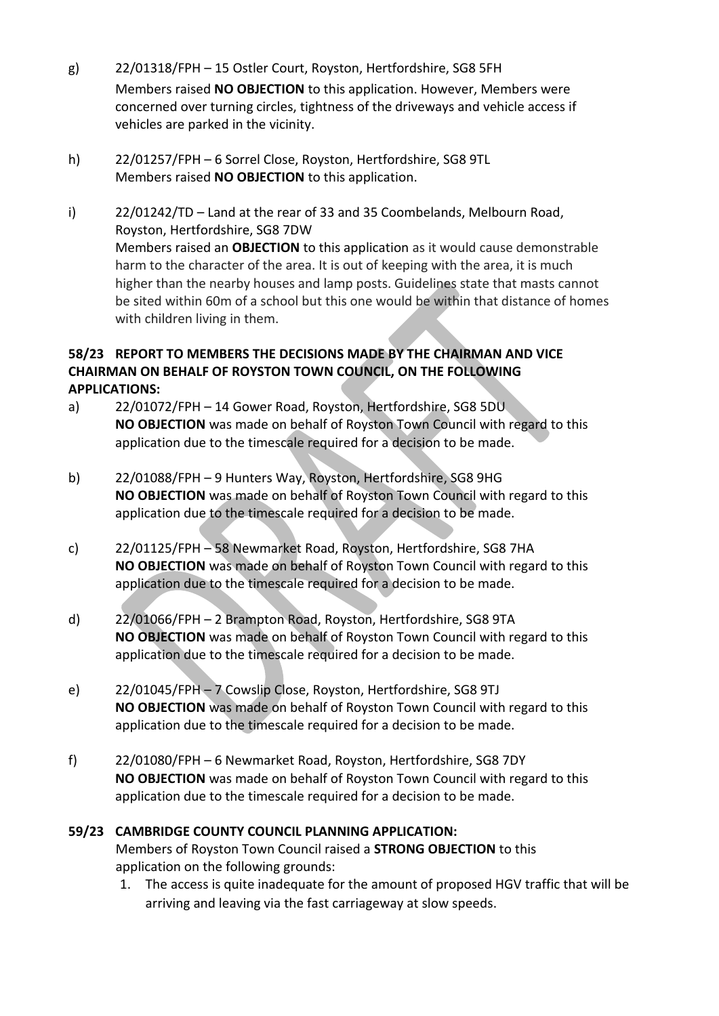- g) 22/01318/FPH 15 Ostler Court, Royston, Hertfordshire, SG8 5FH Members raised **NO OBJECTION** to this application. However, Members were concerned over turning circles, tightness of the driveways and vehicle access if vehicles are parked in the vicinity.
- h) 22/01257/FPH 6 Sorrel Close, Royston, Hertfordshire, SG8 9TL Members raised **NO OBJECTION** to this application.
- i) 22/01242/TD Land at the rear of 33 and 35 Coombelands, Melbourn Road, Royston, Hertfordshire, SG8 7DW Members raised an **OBJECTION** to this application as it would cause demonstrable harm to the character of the area. It is out of keeping with the area, it is much higher than the nearby houses and lamp posts. Guidelines state that masts cannot be sited within 60m of a school but this one would be within that distance of homes with children living in them.

## **58/23 REPORT TO MEMBERS THE DECISIONS MADE BY THE CHAIRMAN AND VICE CHAIRMAN ON BEHALF OF ROYSTON TOWN COUNCIL, ON THE FOLLOWING APPLICATIONS:**

- a) 22/01072/FPH 14 Gower Road, Royston, Hertfordshire, SG8 5DU **NO OBJECTION** was made on behalf of Royston Town Council with regard to this application due to the timescale required for a decision to be made.
- b) 22/01088/FPH 9 Hunters Way, Royston, Hertfordshire, SG8 9HG **NO OBJECTION** was made on behalf of Royston Town Council with regard to this application due to the timescale required for a decision to be made.
- c) 22/01125/FPH 58 Newmarket Road, Royston, Hertfordshire, SG8 7HA **NO OBJECTION** was made on behalf of Royston Town Council with regard to this application due to the timescale required for a decision to be made.
- d) 22/01066/FPH 2 Brampton Road, Royston, Hertfordshire, SG8 9TA **NO OBJECTION** was made on behalf of Royston Town Council with regard to this application due to the timescale required for a decision to be made.
- e) 22/01045/FPH 7 Cowslip Close, Royston, Hertfordshire, SG8 9TJ **NO OBJECTION** was made on behalf of Royston Town Council with regard to this application due to the timescale required for a decision to be made.
- f) 22/01080/FPH 6 Newmarket Road, Royston, Hertfordshire, SG8 7DY **NO OBJECTION** was made on behalf of Royston Town Council with regard to this application due to the timescale required for a decision to be made.

## **59/23 CAMBRIDGE COUNTY COUNCIL PLANNING APPLICATION:**  Members of Royston Town Council raised a **STRONG OBJECTION** to this application on the following grounds:

1. The access is quite inadequate for the amount of proposed HGV traffic that will be arriving and leaving via the fast carriageway at slow speeds.